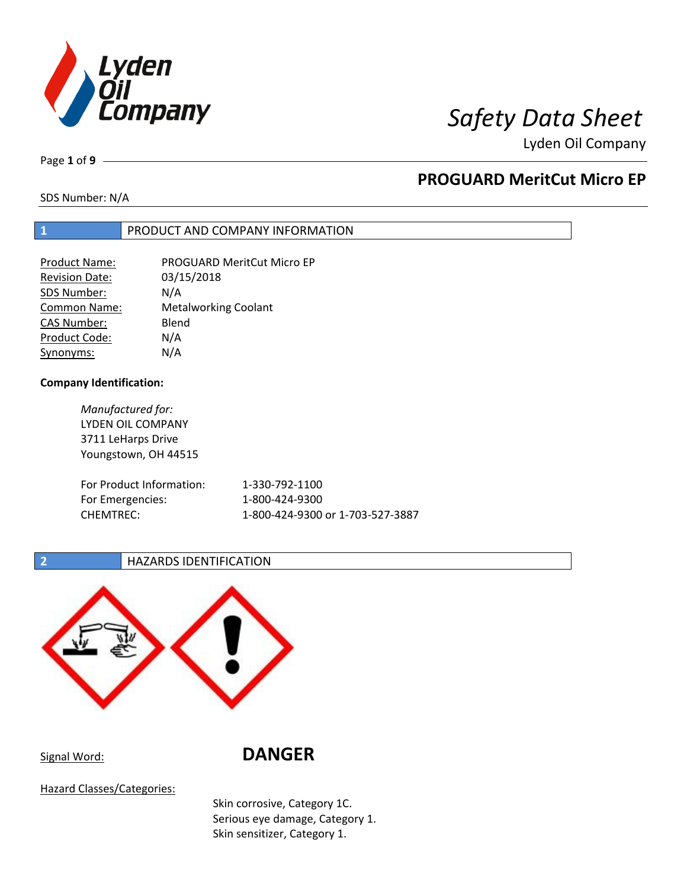

Page **1** of **9**

## **PROGUARD MeritCut Micro EP**

SDS Number: N/A

### **1** PRODUCT AND COMPANY INFORMATION

| <b>Product Name:</b>  | <b>PROGUARD MeritCut Micro EP</b> |
|-----------------------|-----------------------------------|
| <b>Revision Date:</b> | 03/15/2018                        |
| SDS Number:           | N/A                               |
| <b>Common Name:</b>   | <b>Metalworking Coolant</b>       |
| <b>CAS Number:</b>    | Blend                             |
| Product Code:         | N/A                               |
| Synonyms:             | N/A                               |

### **Company Identification:**

| Manufactured for:        |                                  |
|--------------------------|----------------------------------|
| LYDEN OIL COMPANY        |                                  |
| 3711 LeHarps Drive       |                                  |
| Youngstown, OH 44515     |                                  |
|                          |                                  |
| For Product Information: | 1-330-792-1100                   |
| For Emergencies:         | 1-800-424-9300                   |
| <b>CHEMTREC:</b>         | 1-800-424-9300 or 1-703-527-3887 |
|                          |                                  |

**2 HAZARDS IDENTIFICATION** 



Signal Word: **DANGER**

Hazard Classes/Categories:

Skin corrosive, Category 1C. Serious eye damage, Category 1. Skin sensitizer, Category 1.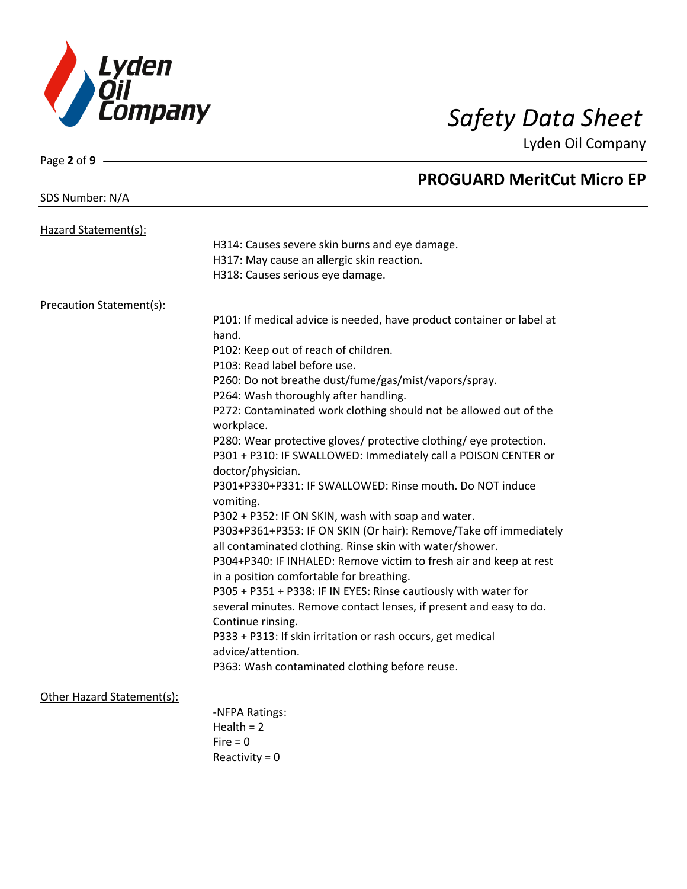

| Page 2 of 9 -              |                                                                       |
|----------------------------|-----------------------------------------------------------------------|
|                            | <b>PROGUARD MeritCut Micro EP</b>                                     |
| SDS Number: N/A            |                                                                       |
| Hazard Statement(s):       |                                                                       |
|                            | H314: Causes severe skin burns and eye damage.                        |
|                            | H317: May cause an allergic skin reaction.                            |
|                            | H318: Causes serious eye damage.                                      |
| Precaution Statement(s):   |                                                                       |
|                            | P101: If medical advice is needed, have product container or label at |
|                            | hand.                                                                 |
|                            | P102: Keep out of reach of children.                                  |
|                            | P103: Read label before use.                                          |
|                            | P260: Do not breathe dust/fume/gas/mist/vapors/spray.                 |
|                            | P264: Wash thoroughly after handling.                                 |
|                            | P272: Contaminated work clothing should not be allowed out of the     |
|                            | workplace.                                                            |
|                            | P280: Wear protective gloves/ protective clothing/ eye protection.    |
|                            | P301 + P310: IF SWALLOWED: Immediately call a POISON CENTER or        |
|                            | doctor/physician.                                                     |
|                            | P301+P330+P331: IF SWALLOWED: Rinse mouth. Do NOT induce              |
|                            | vomiting.                                                             |
|                            | P302 + P352: IF ON SKIN, wash with soap and water.                    |
|                            | P303+P361+P353: IF ON SKIN (Or hair): Remove/Take off immediately     |
|                            | all contaminated clothing. Rinse skin with water/shower.              |
|                            | P304+P340: IF INHALED: Remove victim to fresh air and keep at rest    |
|                            | in a position comfortable for breathing.                              |
|                            | P305 + P351 + P338: IF IN EYES: Rinse cautiously with water for       |
|                            | several minutes. Remove contact lenses, if present and easy to do.    |
|                            | Continue rinsing.                                                     |
|                            | P333 + P313: If skin irritation or rash occurs, get medical           |
|                            | advice/attention.                                                     |
|                            | P363: Wash contaminated clothing before reuse.                        |
| Other Hazard Statement(s): |                                                                       |
|                            | -NFPA Ratings:                                                        |
|                            | Health = $2$                                                          |
|                            | $Fire = 0$                                                            |
|                            | Reactivity = $0$                                                      |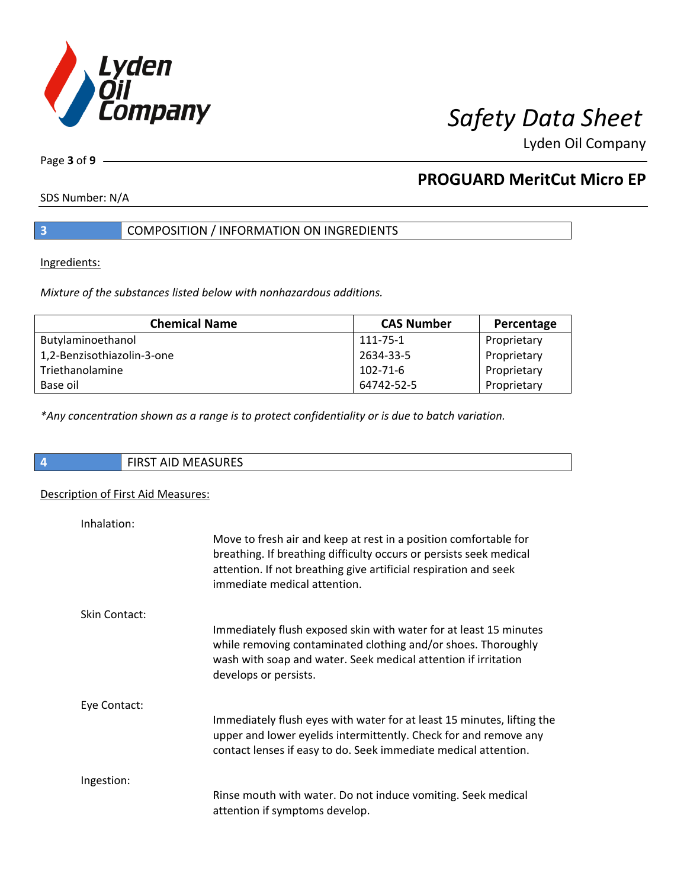

Page **3** of **9**

## **PROGUARD MeritCut Micro EP**

SDS Number: N/A

### **3** COMPOSITION / INFORMATION ON INGREDIENTS

Ingredients:

*Mixture of the substances listed below with nonhazardous additions.*

| <b>Chemical Name</b>       | <b>CAS Number</b> | Percentage  |
|----------------------------|-------------------|-------------|
| Butylaminoethanol          | 111-75-1          | Proprietary |
| 1,2-Benzisothiazolin-3-one | 2634-33-5         | Proprietary |
| Triethanolamine            | 102-71-6          | Proprietary |
| Base oil                   | 64742-52-5        | Proprietary |

*\*Any concentration shown as a range is to protect confidentiality or is due to batch variation.*

| <b>FIRST AID MEASURES</b><br><b>FIDCT AID A</b> |
|-------------------------------------------------|
|                                                 |

### Description of First Aid Measures:

| Inhalation:   | Move to fresh air and keep at rest in a position comfortable for<br>breathing. If breathing difficulty occurs or persists seek medical<br>attention. If not breathing give artificial respiration and seek<br>immediate medical attention. |
|---------------|--------------------------------------------------------------------------------------------------------------------------------------------------------------------------------------------------------------------------------------------|
| Skin Contact: | Immediately flush exposed skin with water for at least 15 minutes<br>while removing contaminated clothing and/or shoes. Thoroughly<br>wash with soap and water. Seek medical attention if irritation<br>develops or persists.              |
| Eye Contact:  | Immediately flush eyes with water for at least 15 minutes, lifting the<br>upper and lower eyelids intermittently. Check for and remove any<br>contact lenses if easy to do. Seek immediate medical attention.                              |
| Ingestion:    | Rinse mouth with water. Do not induce vomiting. Seek medical<br>attention if symptoms develop.                                                                                                                                             |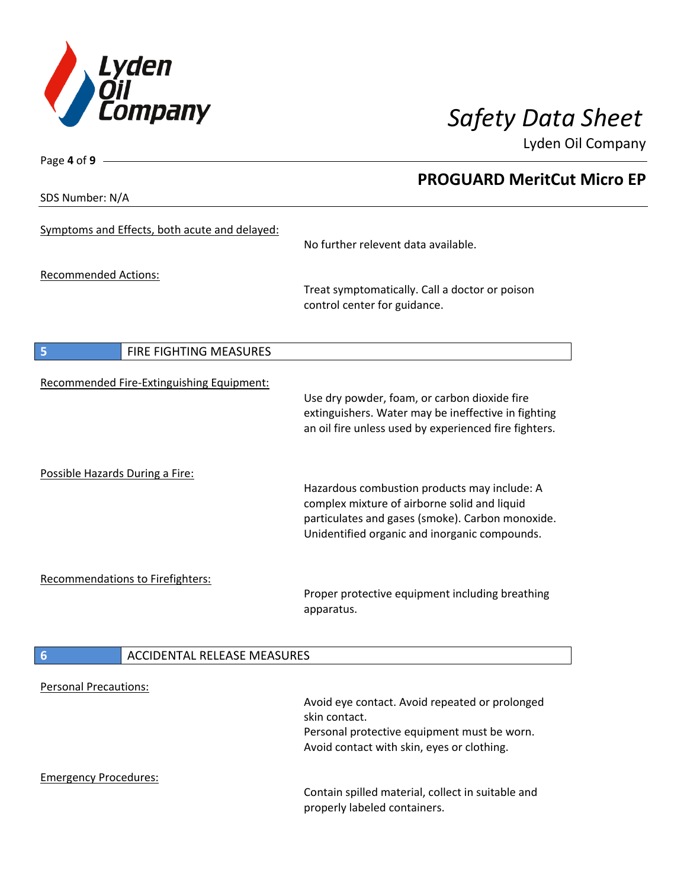

**PROGUARD MeritCut Micro EP**

Lyden Oil Company

SDS Number: N/A

Page **4** of **9**

| Symptoms and Effects, both acute and delayed: | No further relevent data available.                                                                                                                                                               |
|-----------------------------------------------|---------------------------------------------------------------------------------------------------------------------------------------------------------------------------------------------------|
| <b>Recommended Actions:</b>                   | Treat symptomatically. Call a doctor or poison<br>control center for guidance.                                                                                                                    |
| 5<br><b>FIRE FIGHTING MEASURES</b>            |                                                                                                                                                                                                   |
| Recommended Fire-Extinguishing Equipment:     | Use dry powder, foam, or carbon dioxide fire<br>extinguishers. Water may be ineffective in fighting<br>an oil fire unless used by experienced fire fighters.                                      |
| Possible Hazards During a Fire:               | Hazardous combustion products may include: A<br>complex mixture of airborne solid and liquid<br>particulates and gases (smoke). Carbon monoxide.<br>Unidentified organic and inorganic compounds. |
| <b>Recommendations to Firefighters:</b>       | Proper protective equipment including breathing                                                                                                                                                   |

apparatus.

## **6** ACCIDENTAL RELEASE MEASURES

| <b>Personal Precautions:</b> |                                                                                   |
|------------------------------|-----------------------------------------------------------------------------------|
|                              | Avoid eye contact. Avoid repeated or prolonged                                    |
|                              | skin contact.                                                                     |
|                              | Personal protective equipment must be worn.                                       |
|                              | Avoid contact with skin, eyes or clothing.                                        |
| <b>Emergency Procedures:</b> |                                                                                   |
|                              | Contain spilled material, collect in suitable and<br>properly labeled containers. |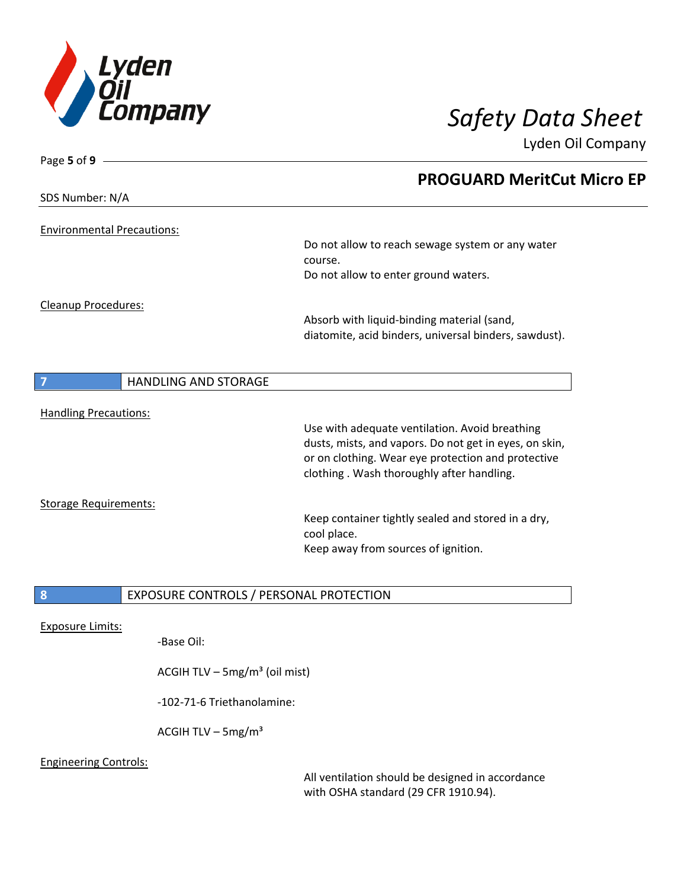

| Page 5 of 9 $-$                   |                                                |                                                        |
|-----------------------------------|------------------------------------------------|--------------------------------------------------------|
|                                   |                                                | <b>PROGUARD MeritCut Micro EP</b>                      |
| SDS Number: N/A                   |                                                |                                                        |
| <b>Environmental Precautions:</b> |                                                |                                                        |
|                                   |                                                | Do not allow to reach sewage system or any water       |
|                                   |                                                | course.                                                |
|                                   |                                                | Do not allow to enter ground waters.                   |
| <b>Cleanup Procedures:</b>        |                                                |                                                        |
|                                   |                                                | Absorb with liquid-binding material (sand,             |
|                                   |                                                | diatomite, acid binders, universal binders, sawdust).  |
|                                   |                                                |                                                        |
|                                   | <b>HANDLING AND STORAGE</b>                    |                                                        |
| <b>Handling Precautions:</b>      |                                                |                                                        |
|                                   |                                                | Use with adequate ventilation. Avoid breathing         |
|                                   |                                                | dusts, mists, and vapors. Do not get in eyes, on skin, |
|                                   |                                                | or on clothing. Wear eye protection and protective     |
|                                   |                                                | clothing. Wash thoroughly after handling.              |
| <b>Storage Requirements:</b>      |                                                |                                                        |
|                                   |                                                | Keep container tightly sealed and stored in a dry,     |
|                                   |                                                | cool place.                                            |
|                                   |                                                | Keep away from sources of ignition.                    |
|                                   |                                                |                                                        |
| 8                                 | <b>EXPOSURE CONTROLS / PERSONAL PROTECTION</b> |                                                        |

Exposure Limits:

-Base Oil:

ACGIH TLV – 5mg/m $3$  (oil mist)

-102-71-6 Triethanolamine:

ACGIH TLV –  $5mg/m<sup>3</sup>$ 

### Engineering Controls:

All ventilation should be designed in accordance with OSHA standard (29 CFR 1910.94).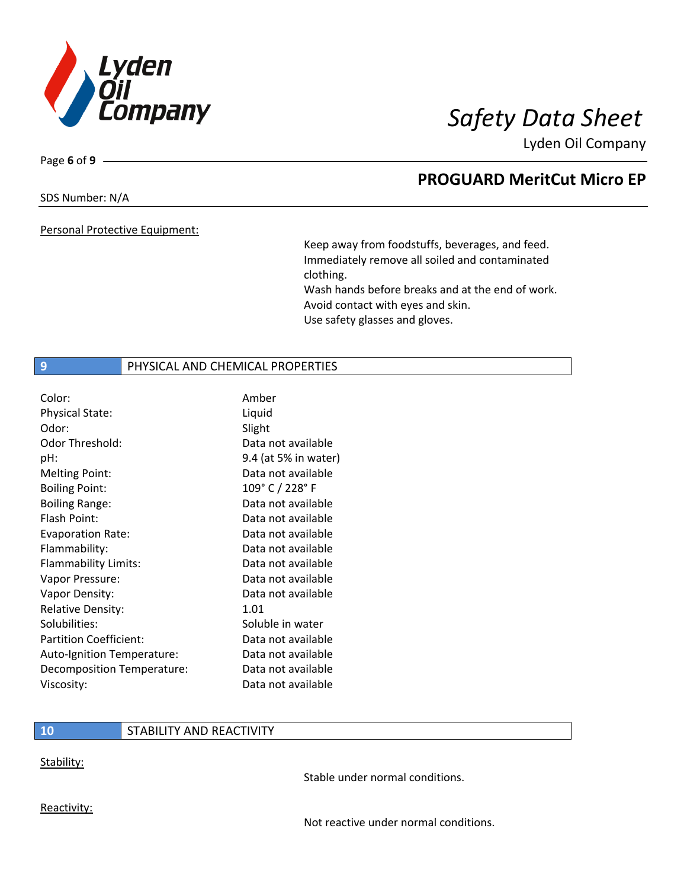

Page **6** of **9**

## **PROGUARD MeritCut Micro EP**

SDS Number: N/A

Personal Protective Equipment:

Keep away from foodstuffs, beverages, and feed. Immediately remove all soiled and contaminated clothing. Wash hands before breaks and at the end of work. Avoid contact with eyes and skin. Use safety glasses and gloves.

### **9 PHYSICAL AND CHEMICAL PROPERTIES**

| Color:                        | Amber                |
|-------------------------------|----------------------|
| <b>Physical State:</b>        | Liquid               |
| Odor:                         | Slight               |
| Odor Threshold:               | Data not available   |
| pH:                           | 9.4 (at 5% in water) |
| <b>Melting Point:</b>         | Data not available   |
| <b>Boiling Point:</b>         | 109° C / 228° F      |
| <b>Boiling Range:</b>         | Data not available   |
| Flash Point:                  | Data not available   |
| <b>Evaporation Rate:</b>      | Data not available   |
| Flammability:                 | Data not available   |
| Flammability Limits:          | Data not available   |
| Vapor Pressure:               | Data not available   |
| Vapor Density:                | Data not available   |
| <b>Relative Density:</b>      | 1.01                 |
| Solubilities:                 | Soluble in water     |
| <b>Partition Coefficient:</b> | Data not available   |
| Auto-Ignition Temperature:    | Data not available   |
| Decomposition Temperature:    | Data not available   |
| Viscosity:                    | Data not available   |

### **10** STABILITY AND REACTIVITY

Stability:

Stable under normal conditions.

Reactivity:

Not reactive under normal conditions.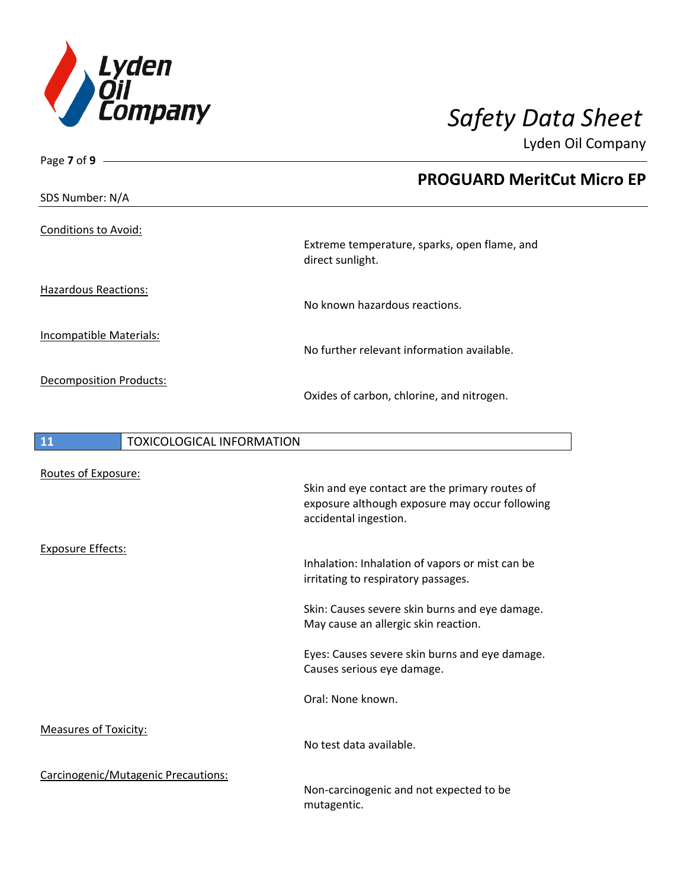

| Page 7 of 9 $-$                        |                                                                  |  |
|----------------------------------------|------------------------------------------------------------------|--|
| SDS Number: N/A                        | <b>PROGUARD MeritCut Micro EP</b>                                |  |
|                                        |                                                                  |  |
| <b>Conditions to Avoid:</b>            |                                                                  |  |
|                                        | Extreme temperature, sparks, open flame, and<br>direct sunlight. |  |
| <b>Hazardous Reactions:</b>            |                                                                  |  |
|                                        | No known hazardous reactions.                                    |  |
| Incompatible Materials:                |                                                                  |  |
|                                        | No further relevant information available.                       |  |
|                                        |                                                                  |  |
| <b>Decomposition Products:</b>         | Oxides of carbon, chlorine, and nitrogen.                        |  |
|                                        |                                                                  |  |
| <b>TOXICOLOGICAL INFORMATION</b><br>11 |                                                                  |  |
|                                        |                                                                  |  |
| Routes of Exposure:                    |                                                                  |  |
|                                        | Skin and eye contact are the primary routes of                   |  |
|                                        | exposure although exposure may occur following                   |  |
|                                        | accidental ingestion.                                            |  |
| <b>Exposure Effects:</b>               |                                                                  |  |
|                                        | Inhalation: Inhalation of vapors or mist can be                  |  |
|                                        | irritating to respiratory passages.                              |  |
|                                        | Skin: Causes severe skin burns and eye damage.                   |  |
|                                        | May cause an allergic skin reaction.                             |  |
|                                        | Eyes: Causes severe skin burns and eye damage.                   |  |
|                                        | Causes serious eye damage.                                       |  |
|                                        | Oral: None known.                                                |  |
| <b>Measures of Toxicity:</b>           |                                                                  |  |
|                                        | No test data available.                                          |  |
| Carcinogenic/Mutagenic Precautions:    |                                                                  |  |
|                                        | Non-carcinogenic and not expected to be                          |  |

mutagentic.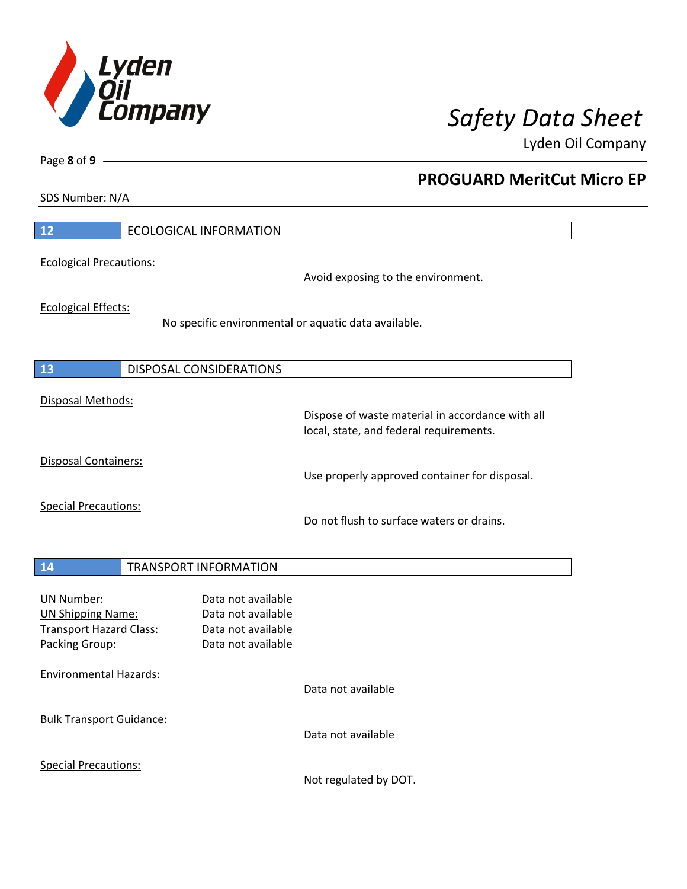

**PROGUARD MeritCut Micro EP**

Lyden Oil Company

SDS Number: N/A

Page **8** of **9**

| 12                                                                                                | <b>ECOLOGICAL INFORMATION</b>                                                               |
|---------------------------------------------------------------------------------------------------|---------------------------------------------------------------------------------------------|
| <b>Ecological Precautions:</b>                                                                    | Avoid exposing to the environment.                                                          |
| <b>Ecological Effects:</b>                                                                        | No specific environmental or aquatic data available.                                        |
| 13                                                                                                | <b>DISPOSAL CONSIDERATIONS</b>                                                              |
| Disposal Methods:                                                                                 | Dispose of waste material in accordance with all<br>local, state, and federal requirements. |
| <b>Disposal Containers:</b>                                                                       | Use properly approved container for disposal.                                               |
| <b>Special Precautions:</b>                                                                       | Do not flush to surface waters or drains.                                                   |
| 14                                                                                                | <b>TRANSPORT INFORMATION</b>                                                                |
| <b>UN Number:</b><br><b>UN Shipping Name:</b><br><b>Transport Hazard Class:</b><br>Packing Group: | Data not available<br>Data not available<br>Data not available<br>Data not available        |
| <b>Environmental Hazards:</b>                                                                     | Data not available                                                                          |
| <b>Bulk Transport Guidance:</b>                                                                   | Data not available                                                                          |
| <b>Special Precautions:</b>                                                                       |                                                                                             |

Not regulated by DOT.